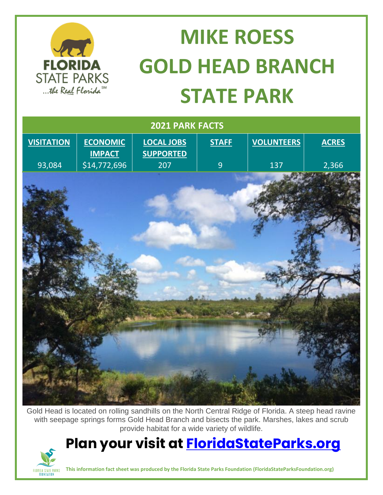

## **MIKE ROESS GOLD HEAD BRANCH STATE PARK**

| 2021 PARK FACTS   |                                  |                                       |                |                   |              |
|-------------------|----------------------------------|---------------------------------------|----------------|-------------------|--------------|
| <b>VISITATION</b> | <b>ECONOMIC</b><br><b>IMPACT</b> | <b>LOCAL JOBS</b><br><b>SUPPORTED</b> | <b>STAFF</b>   | <b>VOLUNTEERS</b> | <b>ACRES</b> |
| 93,084            | \$14,772,696                     | 207                                   | $\overline{9}$ | 137               | 2,366        |
|                   |                                  |                                       |                |                   |              |
|                   |                                  |                                       |                |                   |              |

Gold Head is located on rolling sandhills on the North Central Ridge of Florida. A steep head ravine with seepage springs forms Gold Head Branch and bisects the park. Marshes, lakes and scrub provide habitat for a wide variety of wildlife.

## **Plan your visit at [FloridaStateParks.org](http://www.floridastateparks.org/)**



**This information fact sheet was produced by the Florida State Parks Foundation (FloridaStateParksFoundation.org)**